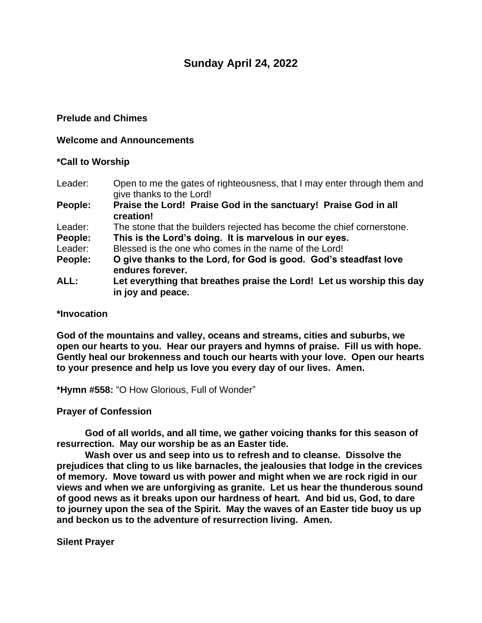# **Sunday April 24, 2022**

## **Prelude and Chimes**

#### **Welcome and Announcements**

### **\*Call to Worship**

- Leader: Open to me the gates of righteousness, that I may enter through them and give thanks to the Lord!
- **People: Praise the Lord! Praise God in the sanctuary! Praise God in all creation!**
- Leader: The stone that the builders rejected has become the chief cornerstone.
- **People: This is the Lord's doing. It is marvelous in our eyes.**
- Leader: Blessed is the one who comes in the name of the Lord!
- **People: O give thanks to the Lord, for God is good. God's steadfast love endures forever.**
- **ALL: Let everything that breathes praise the Lord! Let us worship this day in joy and peace.**

#### **\*Invocation**

**God of the mountains and valley, oceans and streams, cities and suburbs, we open our hearts to you. Hear our prayers and hymns of praise. Fill us with hope. Gently heal our brokenness and touch our hearts with your love. Open our hearts to your presence and help us love you every day of our lives. Amen.**

**\*Hymn #558:** "O How Glorious, Full of Wonder"

# **Prayer of Confession**

**God of all worlds, and all time, we gather voicing thanks for this season of resurrection. May our worship be as an Easter tide.**

**Wash over us and seep into us to refresh and to cleanse. Dissolve the prejudices that cling to us like barnacles, the jealousies that lodge in the crevices of memory. Move toward us with power and might when we are rock rigid in our views and when we are unforgiving as granite. Let us hear the thunderous sound of good news as it breaks upon our hardness of heart. And bid us, God, to dare to journey upon the sea of the Spirit. May the waves of an Easter tide buoy us up and beckon us to the adventure of resurrection living. Amen.**

**Silent Prayer**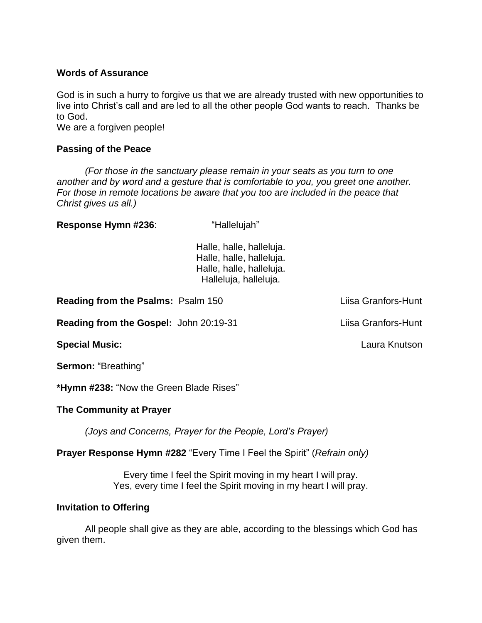### **Words of Assurance**

God is in such a hurry to forgive us that we are already trusted with new opportunities to live into Christ's call and are led to all the other people God wants to reach. Thanks be to God.

We are a forgiven people!

### **Passing of the Peace**

*(For those in the sanctuary please remain in your seats as you turn to one another and by word and a gesture that is comfortable to you, you greet one another. For those in remote locations be aware that you too are included in the peace that Christ gives us all.)*

**Response Hymn #236:** "Hallelujah"

Halle, halle, halleluja. Halle, halle, halleluja. Halle, halle, halleluja. Halleluja, halleluja.

**Reading from the Psalms:** Psalm 150 Liisa Granfors-Hunt

**Reading from the Gospel:** John 20:19-31 Liisa Granfors-Hunt

**Special Music:** Laura Knutson

**Sermon:** "Breathing"

**\*Hymn #238:** "Now the Green Blade Rises"

# **The Community at Prayer**

*(Joys and Concerns, Prayer for the People, Lord's Prayer)*

**Prayer Response Hymn #282** "Every Time I Feel the Spirit" (*Refrain only)*

Every time I feel the Spirit moving in my heart I will pray. Yes, every time I feel the Spirit moving in my heart I will pray.

# **Invitation to Offering**

All people shall give as they are able, according to the blessings which God has given them.